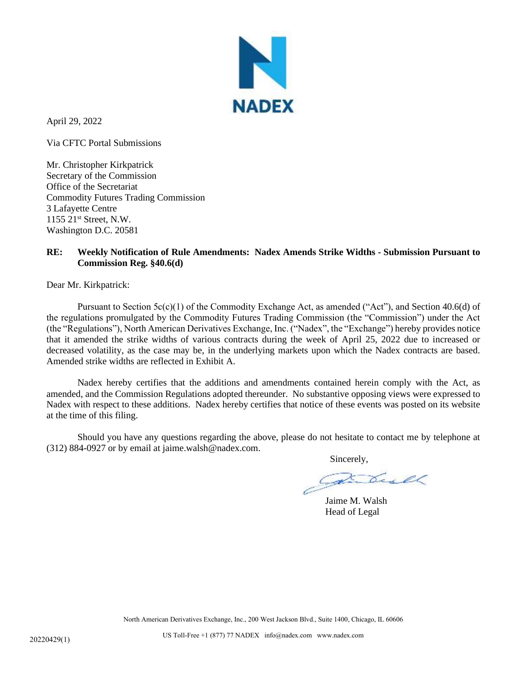

April 29, 2022

Via CFTC Portal Submissions

Mr. Christopher Kirkpatrick Secretary of the Commission Office of the Secretariat Commodity Futures Trading Commission 3 Lafayette Centre 1155 21st Street, N.W. Washington D.C. 20581

## **RE: Weekly Notification of Rule Amendments: Nadex Amends Strike Widths - Submission Pursuant to Commission Reg. §40.6(d)**

Dear Mr. Kirkpatrick:

Pursuant to Section  $5c(c)(1)$  of the Commodity Exchange Act, as amended ("Act"), and Section 40.6(d) of the regulations promulgated by the Commodity Futures Trading Commission (the "Commission") under the Act (the "Regulations"), North American Derivatives Exchange, Inc. ("Nadex", the "Exchange") hereby provides notice that it amended the strike widths of various contracts during the week of April 25, 2022 due to increased or decreased volatility, as the case may be, in the underlying markets upon which the Nadex contracts are based. Amended strike widths are reflected in Exhibit A.

Nadex hereby certifies that the additions and amendments contained herein comply with the Act, as amended, and the Commission Regulations adopted thereunder. No substantive opposing views were expressed to Nadex with respect to these additions. Nadex hereby certifies that notice of these events was posted on its website at the time of this filing.

Should you have any questions regarding the above, please do not hesitate to contact me by telephone at (312) 884-0927 or by email at jaime.walsh@nadex.com.

Sincerely,

Jaime M. Walsh Head of Legal